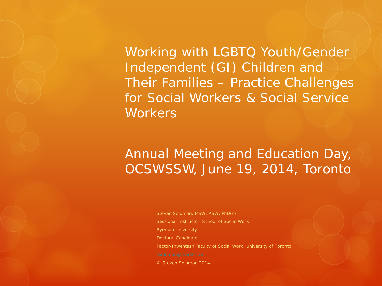Working with LGBTQ Youth/Gender Independent (GI) Children and Their Families – Practice Challenges for Social Workers & Social Service **Workers** 

#### Annual Meeting and Education Day, OCSWSSW, June 19, 2014, Toronto

Steven Solomon, MSW, RSW, PhD(c) Sessional Instructor, School of Social Work Ryerson University Doctoral Candidate, Factor-Inwentash Faculty of Social Work, University of Toronto

© Steven Solomon 2014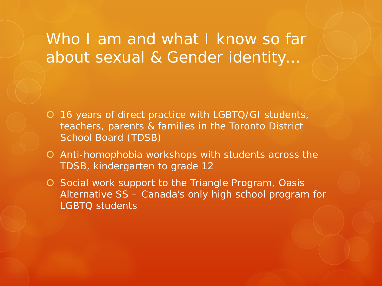### Who I am and what I know so far about sexual & Gender identity…

- 16 years of direct practice with LGBTQ/GI students, teachers, parents & families in the Toronto District School Board (TDSB)
- Anti-homophobia workshops with students across the TDSB, kindergarten to grade 12
- O Social work support to the Triangle Program, Oasis Alternative SS – Canada's only high school program for LGBTQ students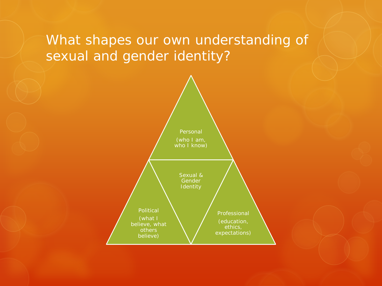#### What shapes our own understanding of sexual and gender identity?

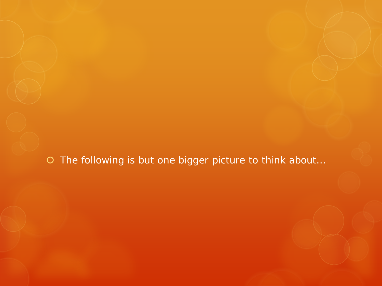O The following is but one bigger picture to think about...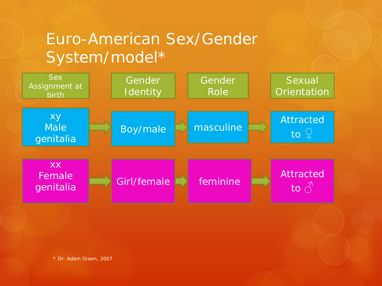## Euro-American Sex/Gender System/model\*

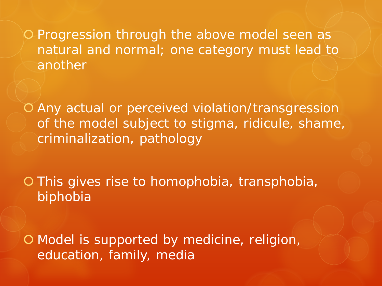O Progression through the above model seen as natural and normal; one category must lead to another

 Any actual or perceived violation/transgression of the model subject to stigma, ridicule, shame, criminalization, pathology

O This gives rise to homophobia, transphobia, biphobia

O Model is supported by medicine, religion, education, family, media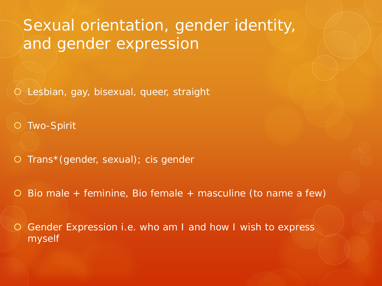#### Sexual orientation, gender identity, and gender expression

Lesbian, gay, bisexual, queer, straight

O Two-Spirit

O Trans\*(gender, sexual); cis gender

Bio male + feminine, Bio female + masculine (to name a few)

 Gender Expression i.e. who am I and how I wish to express myself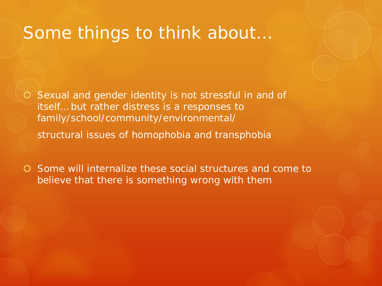#### Some things to think about…

 Sexual and gender identity is not stressful in and of itself… but rather distress is a responses to family/school/community/environmental/

structural issues of homophobia and transphobia

 Some will internalize these social structures and come to believe that there is something wrong with them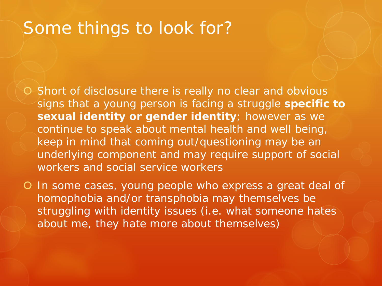## Some things to look for?

- O Short of disclosure there is really no clear and obvious signs that a young person is facing a struggle **specific to sexual identity or gender identity**; however as we continue to speak about mental health and well being, keep in mind that coming out/questioning *may* be an underlying component and *may* require support of social workers and social service workers
- In some cases, young people who express a great deal of homophobia and/or transphobia may themselves be struggling with identity issues (i.e. what someone hates about me, they hate more about themselves)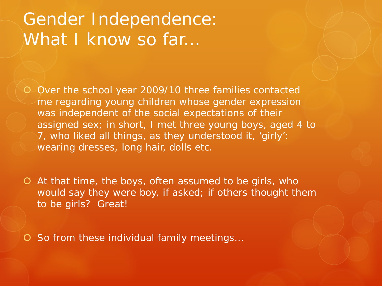## Gender Independence: What I know so far...

- O Over the school year 2009/10 three families contacted me regarding young children whose gender expression was independent of the social expectations of their assigned sex; in short, I met three young boys, aged 4 to 7, who liked all things, as they understood it, 'girly': wearing dresses, long hair, dolls etc.
- At that time, the boys, often assumed to be girls, who would say they were boy, if asked; if others thought them to be girls? Great!
- O So from these individual family meetings...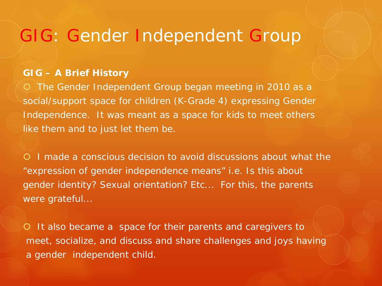#### GIG: Gender Independent Group

#### **GIG – A Brief History**

 The Gender Independent Group began meeting in 2010 as a social/support space for children (K-Grade 4) expressing Gender Independence. It was meant as a space for kids to meet others like them and to just let them be.

 I made a conscious decision to avoid discussions about what the "expression of gender independence means" i.e. Is this about gender identity? Sexual orientation? Etc... For this, the parents were grateful...

O It also became a space for their parents and caregivers to meet, socialize, and discuss and share challenges and joys having a gender independent child.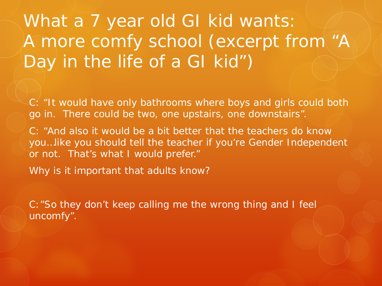What a 7 year old GI kid wants: A more comfy school (excerpt from "A Day in the life of a GI kid")

C: "It would have only bathrooms where boys and girls could both go in. There could be two, one upstairs, one downstairs".

C: "And also it would be a bit better that the teachers do know you…like you should tell the teacher if you're Gender Independent or not. That's what I would prefer."

Why is it important that adults know?

C:"So they don't keep calling me the wrong thing and I feel uncomfy".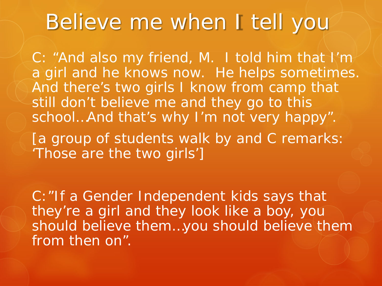# Believe me when I tell you

C: "And also my friend, M. I told him that I'm a girl and he knows now. He helps sometimes. And there's two girls I know from camp that still don't believe me and they go to this school…And that's why I'm not very happy".

[a group of students walk by and C remarks: 'Those are the two girls']

C:"If a Gender Independent kids says that they're a girl and they look like a boy, you should believe them…you should believe them from then on".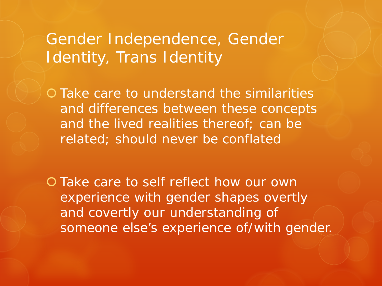### Gender Independence, Gender Identity, Trans Identity

 Take care to understand the similarities and differences between these concepts and the lived realities thereof; can be related; should never be conflated

O Take care to self reflect how our own experience with gender shapes overtly and covertly our understanding of someone else's experience of/with gender.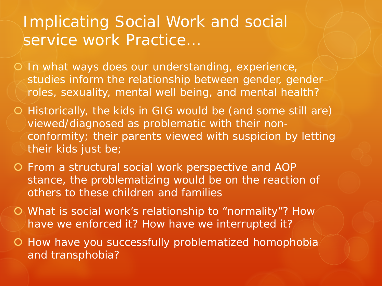#### Implicating Social Work and social service work Practice…

O In what ways does our understanding, experience, studies inform the relationship between gender, gender roles, sexuality, mental well being, and mental health?

- Historically, the kids in GIG would be (and some still are) viewed/diagnosed as problematic with their nonconformity; their parents viewed with suspicion by letting their kids just be;
- From a structural social work perspective and AOP stance, the problematizing would be on the reaction of others to these children and families
- What is social work's relationship to "normality"? How have we enforced it? How have we interrupted it?
- O How have you successfully problematized homophobia and transphobia?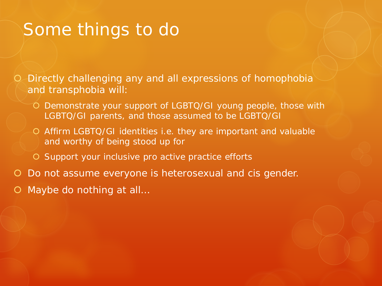### Some things to do

 Directly challenging any and all expressions of homophobia and transphobia will:

- Demonstrate your support of LGBTQ/GI young people, those with LGBTQ/GI parents, and those assumed to be LGBTQ/GI
- Affirm LGBTQ/GI identities i.e. they are important and valuable and worthy of being stood up for
- O Support your inclusive pro active practice efforts
- Do not assume everyone is heterosexual and cis gender.
- Maybe do nothing at all…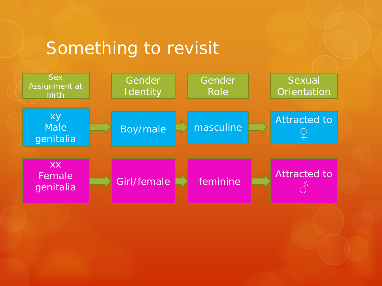## Something to revisit